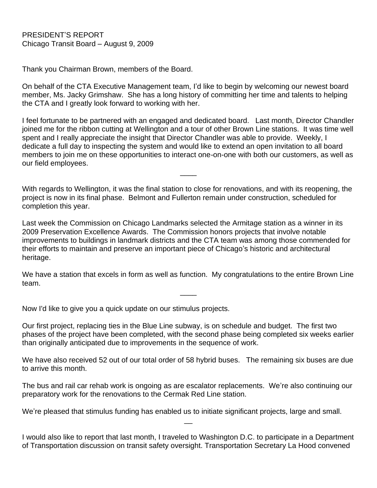PRESIDENT'S REPORT Chicago Transit Board – August 9, 2009

Thank you Chairman Brown, members of the Board.

On behalf of the CTA Executive Management team, I'd like to begin by welcoming our newest board member, Ms. Jacky Grimshaw. She has a long history of committing her time and talents to helping the CTA and I greatly look forward to working with her.

I feel fortunate to be partnered with an engaged and dedicated board. Last month, Director Chandler joined me for the ribbon cutting at Wellington and a tour of other Brown Line stations. It was time well spent and I really appreciate the insight that Director Chandler was able to provide. Weekly, I dedicate a full day to inspecting the system and would like to extend an open invitation to all board members to join me on these opportunities to interact one-on-one with both our customers, as well as our field employees.

With regards to Wellington, it was the final station to close for renovations, and with its reopening, the project is now in its final phase. Belmont and Fullerton remain under construction, scheduled for completion this year.

 $\overline{\phantom{a}}$ 

Last week the Commission on Chicago Landmarks selected the Armitage station as a winner in its 2009 Preservation Excellence Awards. The Commission honors projects that involve notable improvements to buildings in landmark districts and the CTA team was among those commended for their efforts to maintain and preserve an important piece of Chicago's historic and architectural heritage.

We have a station that excels in form as well as function. My congratulations to the entire Brown Line team.

 $\overline{\phantom{a}}$ 

Now I'd like to give you a quick update on our stimulus projects.

Our first project, replacing ties in the Blue Line subway, is on schedule and budget. The first two phases of the project have been completed, with the second phase being completed six weeks earlier than originally anticipated due to improvements in the sequence of work.

We have also received 52 out of our total order of 58 hybrid buses. The remaining six buses are due to arrive this month.

The bus and rail car rehab work is ongoing as are escalator replacements. We're also continuing our preparatory work for the renovations to the Cermak Red Line station.

We're pleased that stimulus funding has enabled us to initiate significant projects, large and small.

I would also like to report that last month, I traveled to Washington D.C. to participate in a Department of Transportation discussion on transit safety oversight. Transportation Secretary La Hood convened

 $\overline{\phantom{a}}$